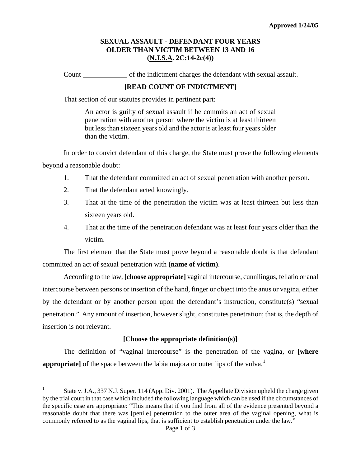# **SEXUAL ASSAULT - DEFENDANT FOUR YEARS OLDER THAN VICTIM BETWEEN 13 AND 16 (N.J.S.A. 2C:14-2c(4))**

Count of the indictment charges the defendant with sexual assault.

## **[READ COUNT OF INDICTMENT]**

That section of our statutes provides in pertinent part:

An actor is guilty of sexual assault if he commits an act of sexual penetration with another person where the victim is at least thirteen but less than sixteen years old and the actor is at least four years older than the victim.

In order to convict defendant of this charge, the State must prove the following elements beyond a reasonable doubt:

- 1. That the defendant committed an act of sexual penetration with another person.
- 2. That the defendant acted knowingly.

<span id="page-0-1"></span>i<br>L

- 3. That at the time of the penetration the victim was at least thirteen but less than sixteen years old.
- 4. That at the time of the penetration defendant was at least four years older than the victim.

The first element that the State must prove beyond a reasonable doubt is that defendant committed an act of sexual penetration with **(name of victim)**.

According to the law, **[choose appropriate]** vaginal intercourse, cunnilingus, fellatio or anal intercourse between persons or insertion of the hand, finger or object into the anus or vagina, either by the defendant or by another person upon the defendant's instruction, constitute(s) "sexual penetration." Any amount of insertion, however slight, constitutes penetration; that is, the depth of insertion is not relevant.

## **[Choose the appropriate definition(s)]**

The definition of "vaginal intercourse" is the penetration of the vagina, or **[where appropriate**] of the space between the labia majora or outer lips of the vulva.<sup>[1](#page-0-0)</sup>

<span id="page-0-0"></span><sup>1</sup> State v. J.A., 337 N.J. Super. 114 (App. Div. 2001). The Appellate Division upheld the charge given by the trial court in that case which included the following language which can be used if the circumstances of the specific case are appropriate: "This means that if you find from all of the evidence presented beyond a reasonable doubt that there was [penile] penetration to the outer area of the vaginal opening, what is commonly referred to as the vaginal lips, that is sufficient to establish penetration under the law."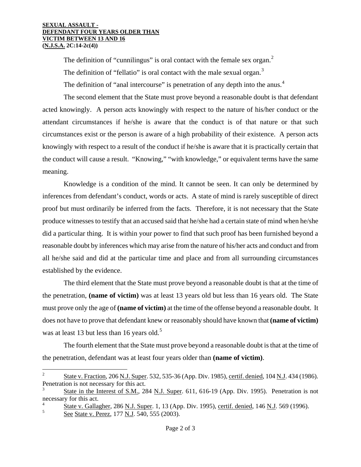#### **SEXUAL ASSAULT - DEFENDANT FOUR YEARS OLDER THAN VICTIM BETWEEN 13 AND 16 (N.J.S.A. 2C:14-2c(4))**

The definition of "cunnilingus" is oral contact with the female sex organ.<sup>[2](#page-0-1)</sup> The definition of "fellatio" is oral contact with the male sexual organ. $3$ The definition of "anal intercourse" is penetration of any depth into the anus.<sup>[4](#page-1-1)</sup>

The second element that the State must prove beyond a reasonable doubt is that defendant acted knowingly. A person acts knowingly with respect to the nature of his/her conduct or the attendant circumstances if he/she is aware that the conduct is of that nature or that such circumstances exist or the person is aware of a high probability of their existence. A person acts knowingly with respect to a result of the conduct if he/she is aware that it is practically certain that the conduct will cause a result. "Knowing," "with knowledge," or equivalent terms have the same meaning.

Knowledge is a condition of the mind. It cannot be seen. It can only be determined by inferences from defendant's conduct, words or acts. A state of mind is rarely susceptible of direct proof but must ordinarily be inferred from the facts. Therefore, it is not necessary that the State produce witnesses to testify that an accused said that he/she had a certain state of mind when he/she did a particular thing. It is within your power to find that such proof has been furnished beyond a reasonable doubt by inferences which may arise from the nature of his/her acts and conduct and from all he/she said and did at the particular time and place and from all surrounding circumstances established by the evidence.

The third element that the State must prove beyond a reasonable doubt is that at the time of the penetration, **(name of victim)** was at least 13 years old but less than 16 years old. The State must prove only the age of **(name of victim)** at the time of the offense beyond a reasonable doubt. It does not have to prove that defendant knew or reasonably should have known that **(name of victim)** was at least 13 but less than 16 years old.<sup>[5](#page-1-2)</sup>

The fourth element that the State must prove beyond a reasonable doubt is that at the time of the penetration, defendant was at least four years older than **(name of victim)**.

i<br>L

<sup>2</sup> State v. Fraction, 206 N.J. Super. 532, 535-36 (App. Div. 1985), certif. denied, 104 N.J. 434 (1986). Penetration is not necessary for this act.

<span id="page-1-0"></span><sup>3</sup> State in the Interest of S.M., 284 N.J. Super. 611, 616-19 (App. Div. 1995). Penetration is not necessary for this act.

<span id="page-1-2"></span><span id="page-1-1"></span><sup>4</sup>  $\frac{4}{5}$  State v. Gallagher, 286 N.J. Super. 1, 13 (App. Div. 1995), certif. denied, 146 N.J. 569 (1996).

See State v. Perez, 177 N.J. 540, 555 (2003).